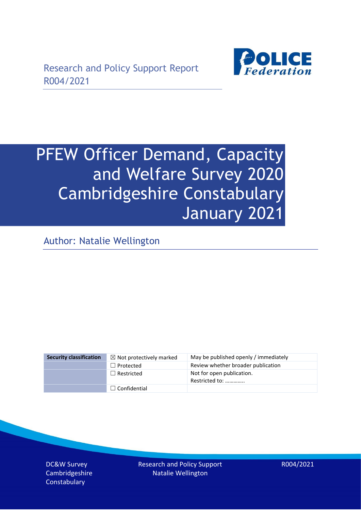

# PFEW Officer Demand, Capacity and Welfare Survey 2020 Cambridgeshire Constabulary January 2021

Author: Natalie Wellington

| <b>Security classification</b> | $\boxtimes$ Not protectively marked | May be published openly / immediately       |
|--------------------------------|-------------------------------------|---------------------------------------------|
|                                | $\Box$ Protected                    | Review whether broader publication          |
|                                | $\Box$ Restricted                   | Not for open publication.<br>Restricted to: |
|                                | $\Box$ Confidential                 |                                             |

DC&W Survey Cambridgeshire **Constabulary** 

Research and Policy Support Natalie Wellington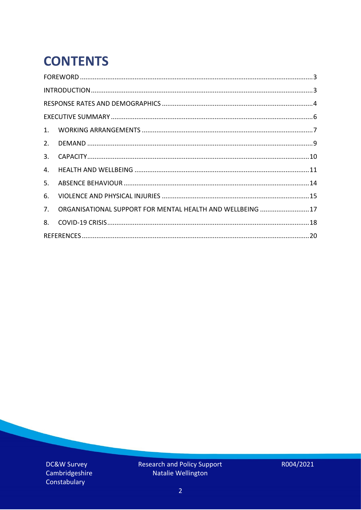# **CONTENTS**

| 4.          |                                                            |  |
|-------------|------------------------------------------------------------|--|
| 5.          |                                                            |  |
| 6.          |                                                            |  |
| $7_{\cdot}$ | ORGANISATIONAL SUPPORT FOR MENTAL HEALTH AND WELLBEING  17 |  |
| 8.          |                                                            |  |
|             |                                                            |  |

DC&W Survey Cambridgeshire Constabulary

Research and Policy Support<br>Natalie Wellington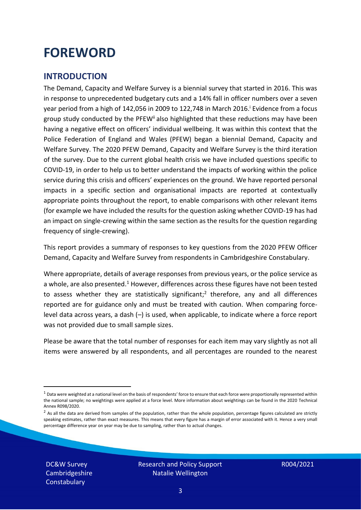### <span id="page-2-0"></span>**FOREWORD**

#### <span id="page-2-1"></span>**INTRODUCTION**

The Demand, Capacity and Welfare Survey is a biennial survey that started in 2016. This was in response to unprecedented budgetary cuts and a 14% fall in officer numbers over a seven year period from a high of 142,056 in 2009 to 122,748 in March 2016. <sup>i</sup> Evidence from a focus group study conducted by the PFEW<sup>ii</sup> also highlighted that these reductions may have been having a negative effect on officers' individual wellbeing. It was within this context that the Police Federation of England and Wales (PFEW) began a biennial Demand, Capacity and Welfare Survey. The 2020 PFEW Demand, Capacity and Welfare Survey is the third iteration of the survey. Due to the current global health crisis we have included questions specific to COVID-19, in order to help us to better understand the impacts of working within the police service during this crisis and officers' experiences on the ground. We have reported personal impacts in a specific section and organisational impacts are reported at contextually appropriate points throughout the report, to enable comparisons with other relevant items (for example we have included the results for the question asking whether COVID-19 has had an impact on single-crewing within the same section as the results for the question regarding frequency of single-crewing).

This report provides a summary of responses to key questions from the 2020 PFEW Officer Demand, Capacity and Welfare Survey from respondents in Cambridgeshire Constabulary.

Where appropriate, details of average responses from previous years, or the police service as a whole, are also presented.<sup>1</sup> However, differences across these figures have not been tested to assess whether they are statistically significant;<sup>2</sup> therefore, any and all differences reported are for guidance only and must be treated with caution. When comparing forcelevel data across years, a dash (–) is used, when applicable, to indicate where a force report was not provided due to small sample sizes.

Please be aware that the total number of responses for each item may vary slightly as not all items were answered by all respondents, and all percentages are rounded to the nearest

DC&W Survey Cambridgeshire **Constabulary** 

 $1$  Data were weighted at a national level on the basis of respondents' force to ensure that each force were proportionally represented within the national sample; no weightings were applied at a force level. More information about weightings can be found in the 2020 Technical Annex R098/2020.

 $2$  As all the data are derived from samples of the population, rather than the whole population, percentage figures calculated are strictly speaking estimates, rather than exact measures. This means that every figure has a margin of error associated with it. Hence a very small percentage difference year on year may be due to sampling, rather than to actual changes.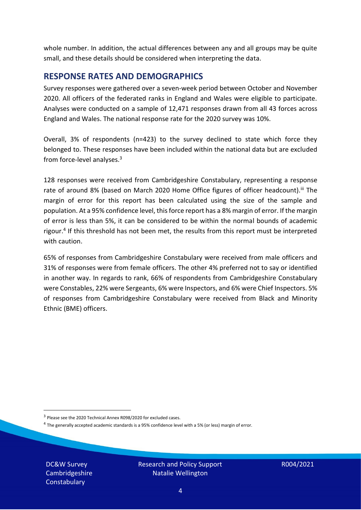whole number. In addition, the actual differences between any and all groups may be quite small, and these details should be considered when interpreting the data.

#### <span id="page-3-0"></span>**RESPONSE RATES AND DEMOGRAPHICS**

Survey responses were gathered over a seven-week period between October and November 2020. All officers of the federated ranks in England and Wales were eligible to participate. Analyses were conducted on a sample of 12,471 responses drawn from all 43 forces across England and Wales. The national response rate for the 2020 survey was 10%.

Overall, 3% of respondents (n=423) to the survey declined to state which force they belonged to. These responses have been included within the national data but are excluded from force-level analyses.<sup>3</sup>

128 responses were received from Cambridgeshire Constabulary, representing a response rate of around 8% (based on March 2020 Home Office figures of officer headcount).<sup>iii</sup> The margin of error for this report has been calculated using the size of the sample and population. At a 95% confidence level, this force report has a 8% margin of error. If the margin of error is less than 5%, it can be considered to be within the normal bounds of academic rigour.<sup>4</sup> If this threshold has not been met, the results from this report must be interpreted with caution.

65% of responses from Cambridgeshire Constabulary were received from male officers and 31% of responses were from female officers. The other 4% preferred not to say or identified in another way. In regards to rank, 66% of respondents from Cambridgeshire Constabulary were Constables, 22% were Sergeants, 6% were Inspectors, and 6% were Chief Inspectors. 5% of responses from Cambridgeshire Constabulary were received from Black and Minority Ethnic (BME) officers.

DC&W Survey Cambridgeshire **Constabulary** 

<sup>&</sup>lt;sup>3</sup> Please see the 2020 Technical Annex R098/2020 for excluded cases.

<sup>&</sup>lt;sup>4</sup> The generally accepted academic standards is a 95% confidence level with a 5% (or less) margin of error.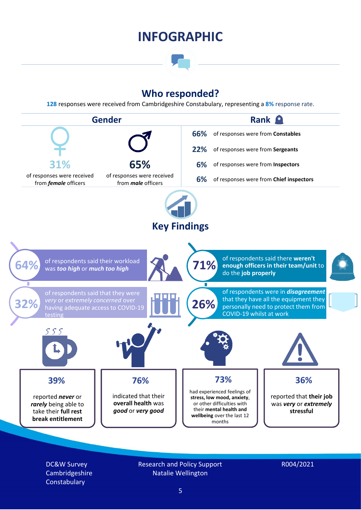### **INFOGRAPHIC**

### **Who responded?**

**128** responses were received from Cambridgeshire Constabulary, representing a **8%** response rate.



DC&W Survey Cambridgeshire **Constabulary** 

Research and Policy Support Natalie Wellington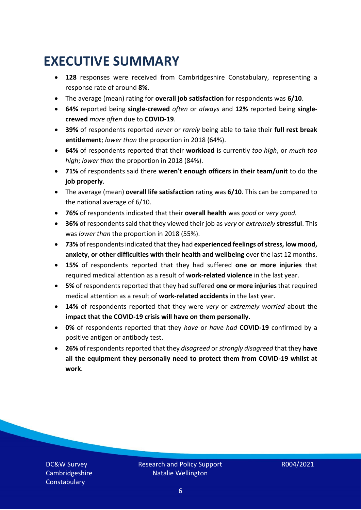### <span id="page-5-0"></span>**EXECUTIVE SUMMARY**

- **128** responses were received from Cambridgeshire Constabulary, representing a response rate of around **8%**.
- The average (mean) rating for **overall job satisfaction** for respondents was **6/10**.
- **64%** reported being **single-crewed** *often* or *always* and **12%** reported being **singlecrewed** *more often* due to **COVID-19**.
- **39%** of respondents reported *never* or *rarely* being able to take their **full rest break entitlement**; *lower than* the proportion in 2018 (64%).
- **64%** of respondents reported that their **workload** is currently *too high*, or *much too high*; *lower than* the proportion in 2018 (84%).
- **71%** of respondents said there **weren't enough officers in their team/unit** to do the **job properly**.
- The average (mean) **overall life satisfaction** rating was **6/10**. This can be compared to the national average of 6/10.
- **76%** of respondents indicated that their **overall health** was *good* or *very good.*
- **36%** of respondents said that they viewed their job as *very* or *extremely* **stressful**. This was *lower than* the proportion in 2018 (55%).
- **73%** of respondents indicated that they had **experienced feelings of stress, low mood, anxiety, or other difficulties with their health and wellbeing** over the last 12 months.
- **15%** of respondents reported that they had suffered **one or more injuries** that required medical attention as a result of **work-related violence** in the last year.
- **5%** of respondents reported that they had suffered **one or more injuries**that required medical attention as a result of **work-related accidents** in the last year.
- **14%** of respondents reported that they were *very* or *extremely worried* about the **impact that the COVID-19 crisis will have on them personally**.
- **0%** of respondents reported that they *have* or *have had* **COVID-19** confirmed by a positive antigen or antibody test.
- **26%** of respondents reported that they *disagreed* or *strongly disagreed* that they **have all the equipment they personally need to protect them from COVID-19 whilst at work**.

DC&W Survey Cambridgeshire **Constabulary**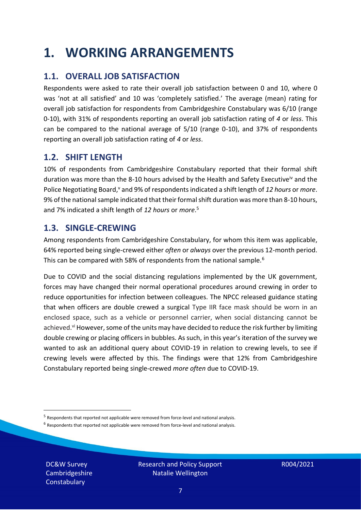### <span id="page-6-0"></span>**1. WORKING ARRANGEMENTS**

#### **1.1. OVERALL JOB SATISFACTION**

Respondents were asked to rate their overall job satisfaction between 0 and 10, where 0 was 'not at all satisfied' and 10 was 'completely satisfied.' The average (mean) rating for overall job satisfaction for respondents from Cambridgeshire Constabulary was 6/10 (range 0-10), with 31% of respondents reporting an overall job satisfaction rating of *4* or *less*. This can be compared to the national average of 5/10 (range 0-10), and 37% of respondents reporting an overall job satisfaction rating of *4* or *less*.

#### **1.2. SHIFT LENGTH**

10% of respondents from Cambridgeshire Constabulary reported that their formal shift duration was more than the 8-10 hours advised by the Health and Safety Executive<sup>iv</sup> and the Police Negotiating Board,<sup>v</sup> and 9% of respondents indicated a shift length of 12 hours or *more*. 9% of the national sample indicated that their formal shift duration was more than 8-10 hours, and 7% indicated a shift length of *12 hours* or *more*. 5

#### **1.3. SINGLE-CREWING**

Among respondents from Cambridgeshire Constabulary, for whom this item was applicable, 64% reported being single-crewed either *often* or *always* over the previous 12-month period. This can be compared with 58% of respondents from the national sample.<sup>6</sup>

Due to COVID and the social distancing regulations implemented by the UK government, forces may have changed their normal operational procedures around crewing in order to reduce opportunities for infection between colleagues. The NPCC released guidance stating that when officers are double crewed a surgical Type IIR face mask should be worn in an enclosed space, such as a vehicle or personnel carrier, when social distancing cannot be achieved.<sup>vi</sup> However, some of the units may have decided to reduce the risk further by limiting double crewing or placing officers in bubbles. As such, in this year's iteration of the survey we wanted to ask an additional query about COVID-19 in relation to crewing levels, to see if crewing levels were affected by this. The findings were that 12% from Cambridgeshire Constabulary reported being single-crewed *more often* due to COVID-19.

 $<sup>6</sup>$  Respondents that reported not applicable were removed from force-level and national analysis.</sup>

DC&W Survey Cambridgeshire **Constabulary** 

<sup>&</sup>lt;sup>5</sup> Respondents that reported not applicable were removed from force-level and national analysis.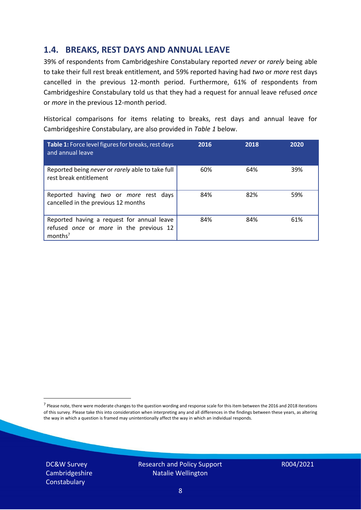#### **1.4. BREAKS, REST DAYS AND ANNUAL LEAVE**

39% of respondents from Cambridgeshire Constabulary reported *never* or *rarely* being able to take their full rest break entitlement, and 59% reported having had *two* or *more* rest days cancelled in the previous 12-month period. Furthermore, 61% of respondents from Cambridgeshire Constabulary told us that they had a request for annual leave refused *once* or *more* in the previous 12-month period.

Historical comparisons for items relating to breaks, rest days and annual leave for Cambridgeshire Constabulary, are also provided in *Table 1* below.

| Table 1: Force level figures for breaks, rest days<br>and annual leave                                       | 2016 | 2018 | 2020 |
|--------------------------------------------------------------------------------------------------------------|------|------|------|
| Reported being never or rarely able to take full<br>rest break entitlement                                   | 60%  | 64%  | 39%  |
| Reported having two or more rest days<br>cancelled in the previous 12 months                                 | 84%  | 82%  | 59%  |
| Reported having a request for annual leave<br>refused once or more in the previous 12<br>months <sup>7</sup> | 84%  | 84%  | 61%  |

DC&W Survey Cambridgeshire **Constabulary** 



<sup>&</sup>lt;sup>7</sup> Please note, there were moderate changes to the question wording and response scale for this item between the 2016 and 2018 iterations of this survey. Please take this into consideration when interpreting any and all differences in the findings between these years, as altering the way in which a question is framed may unintentionally affect the way in which an individual responds.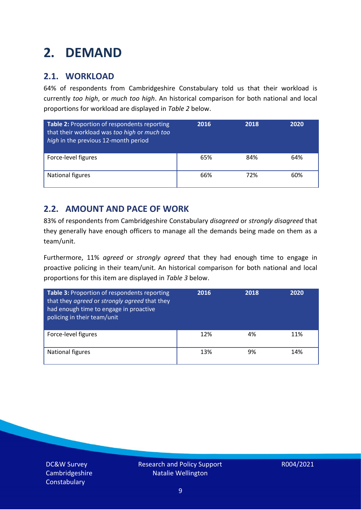### <span id="page-8-0"></span>**2. DEMAND**

#### **2.1. WORKLOAD**

64% of respondents from Cambridgeshire Constabulary told us that their workload is currently *too high*, or *much too high*. An historical comparison for both national and local proportions for workload are displayed in *Table 2* below.

| Table 2: Proportion of respondents reporting<br>that their workload was too high or much too<br>high in the previous 12-month period | 2016 | 2018 | 2020 |
|--------------------------------------------------------------------------------------------------------------------------------------|------|------|------|
| Force-level figures                                                                                                                  | 65%  | 84%  | 64%  |
| National figures                                                                                                                     | 66%  | 72%  | 60%  |

#### **2.2. AMOUNT AND PACE OF WORK**

83% of respondents from Cambridgeshire Constabulary *disagreed* or *strongly disagreed* that they generally have enough officers to manage all the demands being made on them as a team/unit.

Furthermore, 11% *agreed* or *strongly agreed* that they had enough time to engage in proactive policing in their team/unit. An historical comparison for both national and local proportions for this item are displayed in *Table 3* below.

| Table 3: Proportion of respondents reporting<br>that they agreed or strongly agreed that they<br>had enough time to engage in proactive<br>policing in their team/unit | 2016 | 2018 | 2020 |
|------------------------------------------------------------------------------------------------------------------------------------------------------------------------|------|------|------|
| Force-level figures                                                                                                                                                    | 12%  | 4%   | 11%  |
| National figures                                                                                                                                                       | 13%  | 9%   | 14%  |

DC&W Survey Cambridgeshire **Constabulary**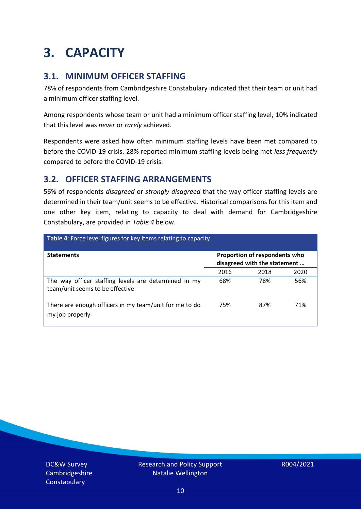### <span id="page-9-0"></span>**3. CAPACITY**

#### **3.1. MINIMUM OFFICER STAFFING**

78% of respondents from Cambridgeshire Constabulary indicated that their team or unit had a minimum officer staffing level.

Among respondents whose team or unit had a minimum officer staffing level, 10% indicated that this level was *never* or *rarely* achieved.

Respondents were asked how often minimum staffing levels have been met compared to before the COVID-19 crisis. 28% reported minimum staffing levels being met *less frequently* compared to before the COVID-19 crisis.

#### **3.2. OFFICER STAFFING ARRANGEMENTS**

56% of respondents *disagreed* or *strongly disagreed* that the way officer staffing levels are determined in their team/unit seems to be effective. Historical comparisons for this item and one other key item, relating to capacity to deal with demand for Cambridgeshire Constabulary, are provided in *Table 4* below.

| Table 4: Force level figures for key items relating to capacity                         |                                                               |      |      |  |
|-----------------------------------------------------------------------------------------|---------------------------------------------------------------|------|------|--|
| <b>Statements</b>                                                                       | Proportion of respondents who<br>disagreed with the statement |      |      |  |
|                                                                                         | 2016                                                          | 2018 | 2020 |  |
| The way officer staffing levels are determined in my<br>team/unit seems to be effective | 68%                                                           | 78%  | 56%  |  |
| There are enough officers in my team/unit for me to do<br>my job properly               | 75%                                                           | 87%  | 71%  |  |

DC&W Survey Cambridgeshire **Constabulary**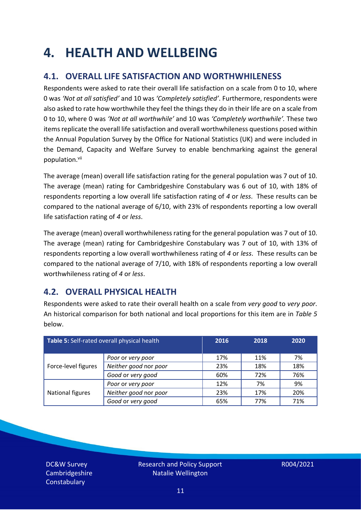### <span id="page-10-0"></span>**4. HEALTH AND WELLBEING**

#### **4.1. OVERALL LIFE SATISFACTION AND WORTHWHILENESS**

Respondents were asked to rate their overall life satisfaction on a scale from 0 to 10, where 0 was *'Not at all satisfied'* and 10 was *'Completely satisfied'*. Furthermore, respondents were also asked to rate how worthwhile they feel the things they do in their life are on a scale from 0 to 10, where 0 was *'Not at all worthwhile'* and 10 was *'Completely worthwhile'.* These two items replicate the overall life satisfaction and overall worthwhileness questions posed within the Annual Population Survey by the Office for National Statistics (UK) and were included in the Demand, Capacity and Welfare Survey to enable benchmarking against the general population. vii

The average (mean) overall life satisfaction rating for the general population was 7 out of 10. The average (mean) rating for Cambridgeshire Constabulary was 6 out of 10, with 18% of respondents reporting a low overall life satisfaction rating of *4* or *less*. These results can be compared to the national average of 6/10, with 23% of respondents reporting a low overall life satisfaction rating of *4* or *less*.

The average (mean) overall worthwhileness rating for the general population was 7 out of 10. The average (mean) rating for Cambridgeshire Constabulary was 7 out of 10, with 13% of respondents reporting a low overall worthwhileness rating of *4* or *less*. These results can be compared to the national average of 7/10, with 18% of respondents reporting a low overall worthwhileness rating of *4* or *less*.

#### **4.2. OVERALL PHYSICAL HEALTH**

Respondents were asked to rate their overall health on a scale from *very good* to *very poor*. An historical comparison for both national and local proportions for this item are in *Table 5* below.

| Table 5: Self-rated overall physical health |                       | 2016 | 2018 | 2020 |
|---------------------------------------------|-----------------------|------|------|------|
|                                             | Poor or very poor     | 17%  | 11%  | 7%   |
| Force-level figures                         | Neither good nor poor | 23%  | 18%  | 18%  |
|                                             | Good or very good     | 60%  | 72%  | 76%  |
|                                             | Poor or very poor     | 12%  | 7%   | 9%   |
| National figures                            | Neither good nor poor | 23%  | 17%  | 20%  |
|                                             | Good or very good     | 65%  | 77%  | 71%  |

DC&W Survey Cambridgeshire **Constabulary**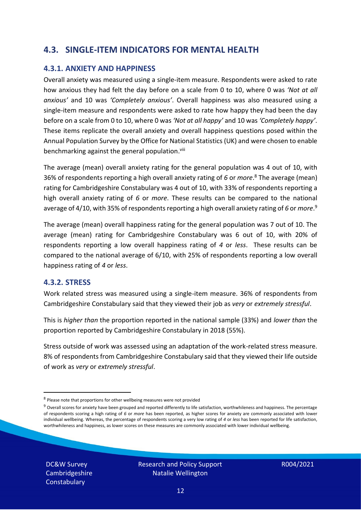#### **4.3. SINGLE-ITEM INDICATORS FOR MENTAL HEALTH**

#### **4.3.1. ANXIETY AND HAPPINESS**

Overall anxiety was measured using a single-item measure. Respondents were asked to rate how anxious they had felt the day before on a scale from 0 to 10, where 0 was *'Not at all anxious'* and 10 was *'Completely anxious'*. Overall happiness was also measured using a single-item measure and respondents were asked to rate how happy they had been the day before on a scale from 0 to 10, where 0 was *'Not at all happy'* and 10 was *'Completely happy'*. These items replicate the overall anxiety and overall happiness questions posed within the Annual Population Survey by the Office for National Statistics (UK) and were chosen to enable benchmarking against the general population.<sup>viii</sup>

The average (mean) overall anxiety rating for the general population was 4 out of 10, with 36% of respondents reporting a high overall anxiety rating of *6* or *more*. <sup>8</sup> The average (mean) rating for Cambridgeshire Constabulary was 4 out of 10, with 33% of respondents reporting a high overall anxiety rating of *6* or *more*. These results can be compared to the national average of 4/10, with 35% of respondents reporting a high overall anxiety rating of 6 or *more*.<sup>9</sup>

The average (mean) overall happiness rating for the general population was 7 out of 10. The average (mean) rating for Cambridgeshire Constabulary was 6 out of 10, with 20% of respondents reporting a low overall happiness rating of *4* or *less*. These results can be compared to the national average of 6/10, with 25% of respondents reporting a low overall happiness rating of *4* or *less*.

#### **4.3.2. STRESS**

Work related stress was measured using a single-item measure. 36% of respondents from Cambridgeshire Constabulary said that they viewed their job as *very* or *extremely stressful*.

This is *higher than* the proportion reported in the national sample (33%) and *lower than* the proportion reported by Cambridgeshire Constabulary in 2018 (55%).

Stress outside of work was assessed using an adaptation of the work-related stress measure. 8% of respondents from Cambridgeshire Constabulary said that they viewed their life outside of work as *very* or *extremely stressful*.

DC&W Survey Cambridgeshire **Constabulary** 

<sup>&</sup>lt;sup>8</sup> Please note that proportions for other wellbeing measures were not provided

 $9$  Overall scores for anxiety have been grouped and reported differently to life satisfaction, worthwhileness and happiness. The percentage of respondents scoring a high rating of *6* or *more* has been reported, as higher scores for anxiety are commonly associated with lower individual wellbeing. Whereas, the percentage of respondents scoring a very low rating of *4* or *less* has been reported for life satisfaction, worthwhileness and happiness, as lower scores on these measures are commonly associated with lower individual wellbeing.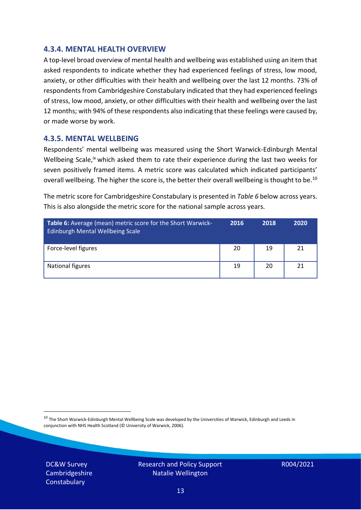#### **4.3.4. MENTAL HEALTH OVERVIEW**

A top-level broad overview of mental health and wellbeing was established using an item that asked respondents to indicate whether they had experienced feelings of stress, low mood, anxiety, or other difficulties with their health and wellbeing over the last 12 months. 73% of respondents from Cambridgeshire Constabulary indicated that they had experienced feelings of stress, low mood, anxiety, or other difficulties with their health and wellbeing over the last 12 months; with 94% of these respondents also indicating that these feelings were caused by, or made worse by work.

#### **4.3.5. MENTAL WELLBEING**

Respondents' mental wellbeing was measured using the Short Warwick-Edinburgh Mental Wellbeing Scale,<sup>ix</sup> which asked them to rate their experience during the last two weeks for seven positively framed items. A metric score was calculated which indicated participants' overall wellbeing. The higher the score is, the better their overall wellbeing is thought to be.<sup>10</sup>

The metric score for Cambridgeshire Constabulary is presented in *Table 6* below across years. This is also alongside the metric score for the national sample across years.

| <b>Table 6:</b> Average (mean) metric score for the Short Warwick-<br>Edinburgh Mental Wellbeing Scale | 2016 | 2018 | 2020 |
|--------------------------------------------------------------------------------------------------------|------|------|------|
| Force-level figures                                                                                    | 20   | 19   | 21   |
| National figures                                                                                       | 19   | 20   | 21   |

 $10$  The Short Warwick-Edinburgh Mental Wellbeing Scale was developed by the Universities of Warwick, Edinburgh and Leeds in conjunction with NHS Health Scotland (© University of Warwick, 2006).

DC&W Survey Cambridgeshire **Constabulary** 

Research and Policy Support Natalie Wellington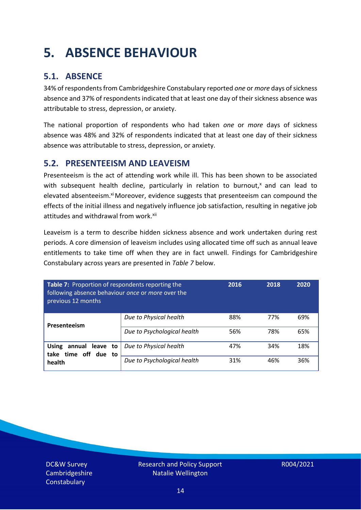## <span id="page-13-0"></span>**5. ABSENCE BEHAVIOUR**

#### **5.1. ABSENCE**

34% of respondents from Cambridgeshire Constabulary reported *one* or *more* days of sickness absence and 37% of respondents indicated that at least one day of their sickness absence was attributable to stress, depression, or anxiety.

The national proportion of respondents who had taken *one* or *more* days of sickness absence was 48% and 32% of respondents indicated that at least one day of their sickness absence was attributable to stress, depression, or anxiety.

#### **5.2. PRESENTEEISM AND LEAVEISM**

Presenteeism is the act of attending work while ill. This has been shown to be associated with subsequent health decline, particularly in relation to burnout, $x$  and can lead to elevated absenteeism.<sup>xi</sup> Moreover, evidence suggests that presenteeism can compound the effects of the initial illness and negatively influence job satisfaction, resulting in negative job attitudes and withdrawal from work.<sup>xii</sup>

Leaveism is a term to describe hidden sickness absence and work undertaken during rest periods. A core dimension of leaveism includes using allocated time off such as annual leave entitlements to take time off when they are in fact unwell. Findings for Cambridgeshire Constabulary across years are presented in *Table 7* below.

| Table 7: Proportion of respondents reporting the<br>following absence behaviour once or more over the<br>previous 12 months |                             | 2016 | 2018 | 2020 |
|-----------------------------------------------------------------------------------------------------------------------------|-----------------------------|------|------|------|
| Presenteeism                                                                                                                | Due to Physical health      | 88%  | 77%  | 69%  |
|                                                                                                                             | Due to Psychological health | 56%  | 78%  | 65%  |
| <b>Using</b><br>annual leave to<br>time off due to<br>take<br>health                                                        | Due to Physical health      | 47%  | 34%  | 18%  |
|                                                                                                                             | Due to Psychological health | 31%  | 46%  | 36%  |

DC&W Survey Cambridgeshire **Constabulary**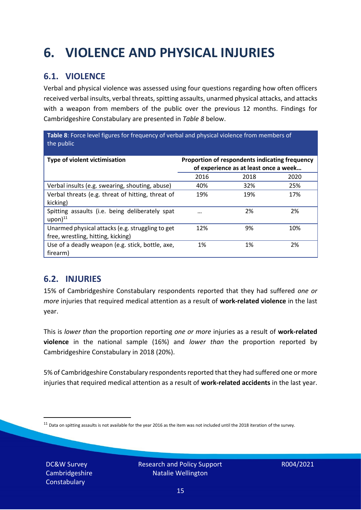## <span id="page-14-0"></span>**6. VIOLENCE AND PHYSICAL INJURIES**

#### **6.1. VIOLENCE**

Verbal and physical violence was assessed using four questions regarding how often officers received verbal insults, verbal threats, spitting assaults, unarmed physical attacks, and attacks with a weapon from members of the public over the previous 12 months. Findings for Cambridgeshire Constabulary are presented in *Table 8* below.

**Table 8**: Force level figures for frequency of verbal and physical violence from members of the public

| Type of violent victimisation                                                          | Proportion of respondents indicating frequency<br>of experience as at least once a week |      |      |
|----------------------------------------------------------------------------------------|-----------------------------------------------------------------------------------------|------|------|
|                                                                                        | 2016                                                                                    | 2018 | 2020 |
| Verbal insults (e.g. swearing, shouting, abuse)                                        | 40%                                                                                     | 32%  | 25%  |
| Verbal threats (e.g. threat of hitting, threat of<br>kicking)                          | 19%                                                                                     | 19%  | 17%  |
| Spitting assaults (i.e. being deliberately spat<br>$upon)$ <sup>11</sup>               | $\cdots$                                                                                | 2%   | 2%   |
| Unarmed physical attacks (e.g. struggling to get<br>free, wrestling, hitting, kicking) | 12%                                                                                     | 9%   | 10%  |
| Use of a deadly weapon (e.g. stick, bottle, axe,<br>firearm)                           | 1%                                                                                      | 1%   | 2%   |

#### **6.2. INJURIES**

15% of Cambridgeshire Constabulary respondents reported that they had suffered *one or more* injuries that required medical attention as a result of **work-related violence** in the last year.

This is *lower than* the proportion reporting *one or more* injuries as a result of **work-related violence** in the national sample (16%) and *lower than* the proportion reported by Cambridgeshire Constabulary in 2018 (20%).

5% of Cambridgeshire Constabulary respondents reported that they had suffered one or more injuries that required medical attention as a result of **work-related accidents** in the last year.

DC&W Survey Cambridgeshire **Constabulary** 

 $11$  Data on spitting assaults is not available for the year 2016 as the item was not included until the 2018 iteration of the survey.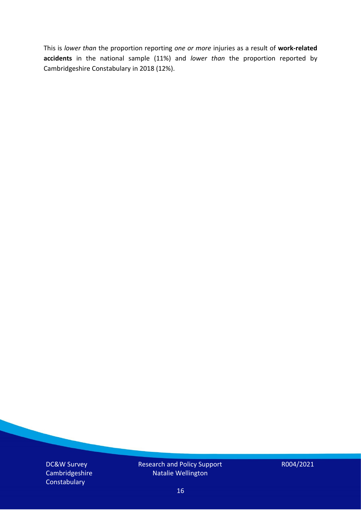This is *lower than* the proportion reporting *one or more* injuries as a result of **work-related accidents** in the national sample (11%) and *lower than* the proportion reported by Cambridgeshire Constabulary in 2018 (12%).

DC&W Survey Cambridgeshire **Constabulary** 

Research and Policy Support Natalie Wellington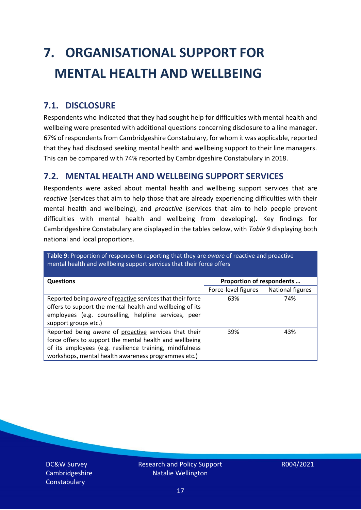# <span id="page-16-0"></span>**7. ORGANISATIONAL SUPPORT FOR MENTAL HEALTH AND WELLBEING**

#### **7.1. DISCLOSURE**

Respondents who indicated that they had sought help for difficulties with mental health and wellbeing were presented with additional questions concerning disclosure to a line manager. 67% of respondents from Cambridgeshire Constabulary, for whom it was applicable, reported that they had disclosed seeking mental health and wellbeing support to their line managers. This can be compared with 74% reported by Cambridgeshire Constabulary in 2018.

#### **7.2. MENTAL HEALTH AND WELLBEING SUPPORT SERVICES**

Respondents were asked about mental health and wellbeing support services that are *reactive* (services that aim to help those that are already experiencing difficulties with their mental health and wellbeing), and *proactive* (services that aim to help people prevent difficulties with mental health and wellbeing from developing). Key findings for Cambridgeshire Constabulary are displayed in the tables below, with *Table 9* displaying both national and local proportions.

**Table 9**: Proportion of respondents reporting that they are *aware* of reactive and proactive mental health and wellbeing support services that their force offers

| <b>Questions</b>                                                                                                                                                                                                                   | Proportion of respondents |                  |
|------------------------------------------------------------------------------------------------------------------------------------------------------------------------------------------------------------------------------------|---------------------------|------------------|
|                                                                                                                                                                                                                                    | Force-level figures       | National figures |
| Reported being aware of reactive services that their force<br>offers to support the mental health and wellbeing of its<br>employees (e.g. counselling, helpline services, peer<br>support groups etc.)                             | 63%                       | 74%              |
| Reported being aware of proactive services that their<br>force offers to support the mental health and wellbeing<br>of its employees (e.g. resilience training, mindfulness<br>workshops, mental health awareness programmes etc.) | 39%                       | 43%              |

DC&W Survey Cambridgeshire **Constabulary**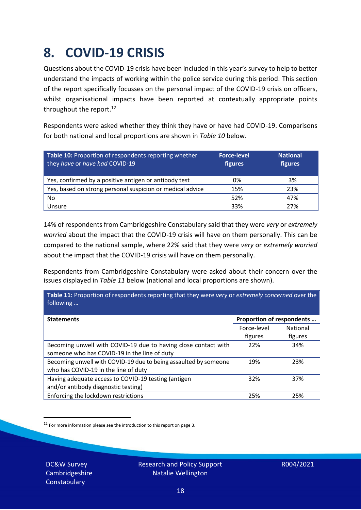### <span id="page-17-0"></span>**8. COVID-19 CRISIS**

Questions about the COVID-19 crisis have been included in this year's survey to help to better understand the impacts of working within the police service during this period. This section of the report specifically focusses on the personal impact of the COVID-19 crisis on officers, whilst organisational impacts have been reported at contextually appropriate points throughout the report.<sup>12</sup>

Respondents were asked whether they think they have or have had COVID-19. Comparisons for both national and local proportions are shown in *Table 10* below.

| Table 10: Proportion of respondents reporting whether<br>they have or have had COVID-19 | <b>Force-level</b><br>figures | <b>National</b><br>figures |
|-----------------------------------------------------------------------------------------|-------------------------------|----------------------------|
| Yes, confirmed by a positive antigen or antibody test                                   | 0%                            | 3%                         |
| Yes, based on strong personal suspicion or medical advice                               | 15%                           | 23%                        |
| No                                                                                      | 52%                           | 47%                        |
| Unsure                                                                                  | 33%                           | 27%                        |

14% of respondents from Cambridgeshire Constabulary said that they were *very* or *extremely worried* about the impact that the COVID-19 crisis will have on them personally. This can be compared to the national sample, where 22% said that they were *very* or *extremely worried* about the impact that the COVID-19 crisis will have on them personally.

Respondents from Cambridgeshire Constabulary were asked about their concern over the issues displayed in *Table 11* below (national and local proportions are shown).

| Table 11: Proportion of respondents reporting that they were very or extremely concerned over the<br>following |                           |                 |
|----------------------------------------------------------------------------------------------------------------|---------------------------|-----------------|
| <b>Statements</b>                                                                                              | Proportion of respondents |                 |
|                                                                                                                | Force-level               | <b>National</b> |
|                                                                                                                | figures                   | figures         |
| Becoming unwell with COVID-19 due to having close contact with                                                 | 22%                       | 34%             |
| someone who has COVID-19 in the line of duty                                                                   |                           |                 |
| Becoming unwell with COVID-19 due to being assaulted by someone                                                | 19%                       | 23%             |
| who has COVID-19 in the line of duty                                                                           |                           |                 |
| Having adequate access to COVID-19 testing (antigen                                                            | 32%                       | 37%             |
| and/or antibody diagnostic testing)                                                                            |                           |                 |
| Enforcing the lockdown restrictions                                                                            | 25%                       | 25%             |

 $12$  For more information please see the introduction to this report on page 3.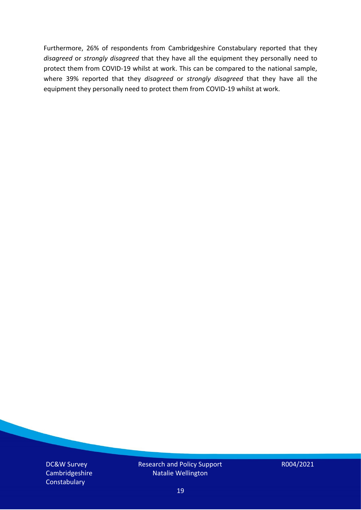Furthermore, 26% of respondents from Cambridgeshire Constabulary reported that they *disagreed* or *strongly disagreed* that they have all the equipment they personally need to protect them from COVID-19 whilst at work. This can be compared to the national sample, where 39% reported that they *disagreed* or *strongly disagreed* that they have all the equipment they personally need to protect them from COVID-19 whilst at work.

DC&W Survey Cambridgeshire **Constabulary** 

Research and Policy Support Natalie Wellington